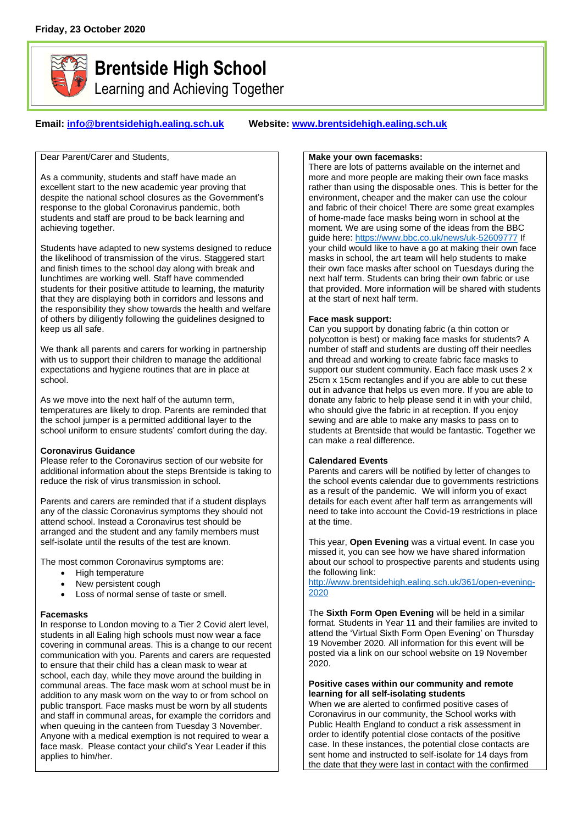

# **Brentside High School**

Learning and Achieving Together

# **Email: [info@brentsidehigh.ealing.sch.uk](mailto:info@brentsidehigh.ealing.sch.uk) Website: www.brentsidehigh.ealing.sch.uk**

Dear Parent/Carer and Students,

As a community, students and staff have made an excellent start to the new academic year proving that despite the national school closures as the Government's response to the global Coronavirus pandemic, both students and staff are proud to be back learning and achieving together.

Students have adapted to new systems designed to reduce the likelihood of transmission of the virus. Staggered start and finish times to the school day along with break and lunchtimes are working well. Staff have commended students for their positive attitude to learning, the maturity that they are displaying both in corridors and lessons and the responsibility they show towards the health and welfare of others by diligently following the guidelines designed to keep us all safe.

We thank all parents and carers for working in partnership with us to support their children to manage the additional expectations and hygiene routines that are in place at school.

As we move into the next half of the autumn term, temperatures are likely to drop. Parents are reminded that the school jumper is a permitted additional layer to the school uniform to ensure students' comfort during the day.

#### **Coronavirus Guidance**

Please refer to the Coronavirus section of our website for additional information about the steps Brentside is taking to reduce the risk of virus transmission in school.

Parents and carers are reminded that if a student displays any of the classic Coronavirus symptoms they should not attend school. Instead a Coronavirus test should be arranged and the student and any family members must self-isolate until the results of the test are known.

The most common Coronavirus symptoms are:

- High temperature
- New persistent cough
- Loss of normal sense of taste or smell.

#### **Facemasks**

In response to London moving to a Tier 2 Covid alert level, students in all Ealing high schools must now wear a face covering in communal areas. This is a change to our recent communication with you. Parents and carers are requested to ensure that their child has a clean mask to wear at school, each day, while they move around the building in communal areas. The face mask worn at school must be in addition to any mask worn on the way to or from school on public transport. Face masks must be worn by all students and staff in communal areas, for example the corridors and when queuing in the canteen from Tuesday 3 November. Anyone with a medical exemption is not required to wear a face mask. Please contact your child's Year Leader if this applies to him/her.

#### **Make your own facemasks:**

There are lots of patterns available on the internet and more and more people are making their own face masks rather than using the disposable ones. This is better for the environment, cheaper and the maker can use the colour and fabric of their choice! There are some great examples of home-made face masks being worn in school at the moment. We are using some of the ideas from the BBC guide here:<https://www.bbc.co.uk/news/uk-52609777> If your child would like to have a go at making their own face masks in school, the art team will help students to make their own face masks after school on Tuesdays during the next half term. Students can bring their own fabric or use that provided. More information will be shared with students at the start of next half term.

# **Face mask support:**

Can you support by donating fabric (a thin cotton or polycotton is best) or making face masks for students? A number of staff and students are dusting off their needles and thread and working to create fabric face masks to support our student community. Each face mask uses 2 x 25cm x 15cm rectangles and if you are able to cut these out in advance that helps us even more. If you are able to donate any fabric to help please send it in with your child, who should give the fabric in at reception. If you enjoy sewing and are able to make any masks to pass on to students at Brentside that would be fantastic. Together we can make a real difference.

# **Calendared Events**

Parents and carers will be notified by letter of changes to the school events calendar due to governments restrictions as a result of the pandemic. We will inform you of exact details for each event after half term as arrangements will need to take into account the Covid-19 restrictions in place at the time.

This year, **Open Evening** was a virtual event. In case you missed it, you can see how we have shared information about our school to prospective parents and students using the following link:

[http://www.brentsidehigh.ealing.sch.uk/361/open-evening-](http://www.brentsidehigh.ealing.sch.uk/361/open-evening-2020)[2020](http://www.brentsidehigh.ealing.sch.uk/361/open-evening-2020)

The **Sixth Form Open Evening** will be held in a similar format. Students in Year 11 and their families are invited to attend the 'Virtual Sixth Form Open Evening' on Thursday 19 November 2020. All information for this event will be posted via a link on our school website on 19 November 2020.

#### **Positive cases within our community and remote learning for all self-isolating students**

When we are alerted to confirmed positive cases of Coronavirus in our community, the School works with Public Health England to conduct a risk assessment in order to identify potential close contacts of the positive case. In these instances, the potential close contacts are sent home and instructed to self-isolate for 14 days from the date that they were last in contact with the confirmed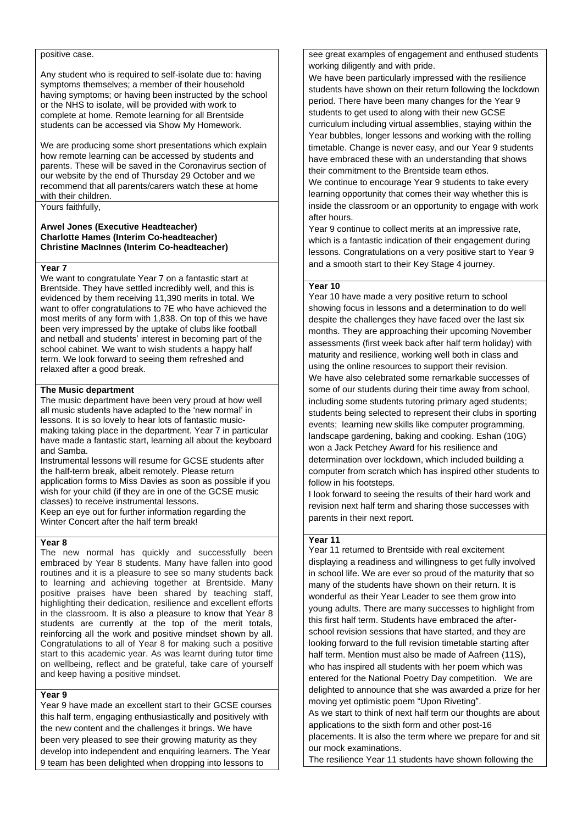#### positive case.

Any student who is required to self-isolate due to: having symptoms themselves; a member of their household having symptoms; or having been instructed by the school or the NHS to isolate, will be provided with work to complete at home. Remote learning for all Brentside students can be accessed via Show My Homework.

We are producing some short presentations which explain how remote learning can be accessed by students and parents. These will be saved in the Coronavirus section of our website by the end of Thursday 29 October and we recommend that all parents/carers watch these at home with their children.

Yours faithfully,

#### **Arwel Jones (Executive Headteacher) Charlotte Hames (Interim Co-headteacher) Christine MacInnes (Interim Co-headteacher)**

#### **Year 7**

We want to congratulate Year 7 on a fantastic start at Brentside. They have settled incredibly well, and this is evidenced by them receiving 11,390 merits in total. We want to offer congratulations to 7E who have achieved the most merits of any form with 1,838. On top of this we have been very impressed by the uptake of clubs like football and netball and students' interest in becoming part of the school cabinet. We want to wish students a happy half term. We look forward to seeing them refreshed and relaxed after a good break.

#### **The Music department**

The music department have been very proud at how well all music students have adapted to the 'new normal' in lessons. It is so lovely to hear lots of fantastic musicmaking taking place in the department. Year 7 in particular have made a fantastic start, learning all about the keyboard and Samba.

Instrumental lessons will resume for GCSE students after the half-term break, albeit remotely. Please return application forms to Miss Davies as soon as possible if you wish for your child (if they are in one of the GCSE music classes) to receive instrumental lessons.

Keep an eye out for further information regarding the Winter Concert after the half term break!

### **Year 8**

The new normal has quickly and successfully been embraced by Year 8 students. Many have fallen into good routines and it is a pleasure to see so many students back to learning and achieving together at Brentside. Many positive praises have been shared by teaching staff, highlighting their dedication, resilience and excellent efforts in the classroom. It is also a pleasure to know that Year 8 students are currently at the top of the merit totals, reinforcing all the work and positive mindset shown by all. Congratulations to all of Year 8 for making such a positive start to this academic year. As was learnt during tutor time on wellbeing, reflect and be grateful, take care of yourself and keep having a positive mindset.

#### **Year 9**

Year 9 have made an excellent start to their GCSE courses this half term, engaging enthusiastically and positively with the new content and the challenges it brings. We have been very pleased to see their growing maturity as they develop into independent and enquiring learners. The Year 9 team has been delighted when dropping into lessons to

see great examples of engagement and enthused students working diligently and with pride.

We have been particularly impressed with the resilience students have shown on their return following the lockdown period. There have been many changes for the Year 9 students to get used to along with their new GCSE curriculum including virtual assemblies, staying within the Year bubbles, longer lessons and working with the rolling timetable. Change is never easy, and our Year 9 students have embraced these with an understanding that shows their commitment to the Brentside team ethos. We continue to encourage Year 9 students to take every learning opportunity that comes their way whether this is inside the classroom or an opportunity to engage with work

after hours. Year 9 continue to collect merits at an impressive rate, which is a fantastic indication of their engagement during lessons. Congratulations on a very positive start to Year 9 and a smooth start to their Key Stage 4 journey.

#### **Year 10**

Year 10 have made a very positive return to school showing focus in lessons and a determination to do well despite the challenges they have faced over the last six months. They are approaching their upcoming November assessments (first week back after half term holiday) with maturity and resilience, working well both in class and using the online resources to support their revision. We have also celebrated some remarkable successes of some of our students during their time away from school, including some students tutoring primary aged students; students being selected to represent their clubs in sporting events; learning new skills like computer programming, landscape gardening, baking and cooking. Eshan (10G) won a Jack Petchey Award for his resilience and determination over lockdown, which included building a computer from scratch which has inspired other students to follow in his footsteps.

I look forward to seeing the results of their hard work and revision next half term and sharing those successes with parents in their next report.

#### **Year 11**

Year 11 returned to Brentside with real excitement displaying a readiness and willingness to get fully involved in school life. We are ever so proud of the maturity that so many of the students have shown on their return. It is wonderful as their Year Leader to see them grow into young adults. There are many successes to highlight from this first half term. Students have embraced the afterschool revision sessions that have started, and they are looking forward to the full revision timetable starting after half term. Mention must also be made of Aafreen (11S), who has inspired all students with her poem which was entered for the National Poetry Day competition. We are delighted to announce that she was awarded a prize for her moving yet optimistic poem "Upon Riveting". As we start to think of next half term our thoughts are about applications to the sixth form and other post-16 placements. It is also the term where we prepare for and sit our mock examinations.

The resilience Year 11 students have shown following the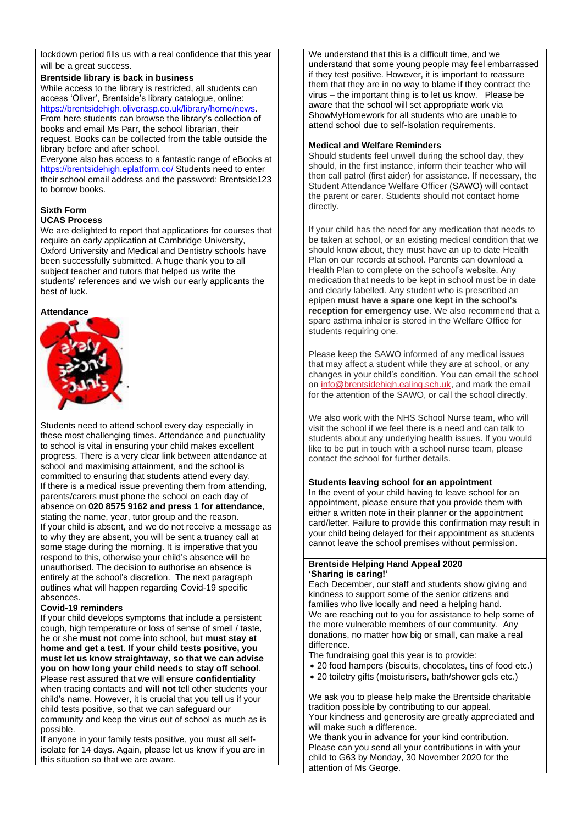lockdown period fills us with a real confidence that this year will be a great success.

# **Brentside library is back in business**

While access to the library is restricted, all students can access 'Oliver', Brentside's library catalogue, online: [https://brentsidehigh.oliverasp.co.uk/library/home/news.](https://brentsidehigh.oliverasp.co.uk/library/home/news) From here students can browse the library's collection of books and email Ms Parr, the school librarian, their request. Books can be collected from the table outside the library before and after school.

Everyone also has access to a fantastic range of eBooks at <https://brentsidehigh.eplatform.co/> Students need to enter their school email address and the password: Brentside123 to borrow books.

#### **Sixth Form UCAS Process**

We are delighted to report that applications for courses that require an early application at Cambridge University, Oxford University and Medical and Dentistry schools have been successfully submitted. A huge thank you to all subject teacher and tutors that helped us write the students' references and we wish our early applicants the best of luck.

#### **Attendance**



Students need to attend school every day especially in these most challenging times. Attendance and punctuality to school is vital in ensuring your child makes excellent progress. There is a very clear link between attendance at school and maximising attainment, and the school is committed to ensuring that students attend every day. If there is a medical issue preventing them from attending, parents/carers must phone the school on each day of absence on **020 8575 9162 and press 1 for attendance**, stating the name, year, tutor group and the reason. If your child is absent, and we do not receive a message as to why they are absent, you will be sent a truancy call at some stage during the morning. It is imperative that you respond to this, otherwise your child's absence will be unauthorised. The decision to authorise an absence is entirely at the school's discretion. The next paragraph outlines what will happen regarding Covid-19 specific absences.

#### **Covid-19 reminders**

If your child develops symptoms that include a persistent cough, high temperature or loss of sense of smell / taste, he or she **must not** come into school, but **must stay at home and get a test**. **If your child tests positive, you must let us know straightaway, so that we can advise you on how long your child needs to stay off school**. Please rest assured that we will ensure **confidentiality**  when tracing contacts and **will not** tell other students your child's name. However, it is crucial that you tell us if your child tests positive, so that we can safeguard our community and keep the virus out of school as much as is possible.

If anyone in your family tests positive, you must all selfisolate for 14 days. Again, please let us know if you are in this situation so that we are aware.

We understand that this is a difficult time, and we understand that some young people may feel embarrassed if they test positive. However, it is important to reassure them that they are in no way to blame if they contract the virus – the important thing is to let us know. Please be aware that the school will set appropriate work via ShowMyHomework for all students who are unable to attend school due to self-isolation requirements.

#### **Medical and Welfare Reminders**

Should students feel unwell during the school day, they should, in the first instance, inform their teacher who will then call patrol (first aider) for assistance. If necessary, the Student Attendance Welfare Officer (SAWO) will contact the parent or carer. Students should not contact home directly.

If your child has the need for any medication that needs to be taken at school, or an existing medical condition that we should know about, they must have an up to date Health Plan on our records at school. Parents can download a Health Plan to complete on the school's website. Any medication that needs to be kept in school must be in date and clearly labelled. Any student who is prescribed an epipen **must have a spare one kept in the school's reception for emergency use**. We also recommend that a spare asthma inhaler is stored in the Welfare Office for students requiring one.

Please keep the SAWO informed of any medical issues that may affect a student while they are at school, or any changes in your child's condition. You can email the school on [info@brentsidehigh.ealing.sch.uk,](mailto:info@brentsidehigh.ealing.sch.uk) and mark the email for the attention of the SAWO, or call the school directly.

We also work with the NHS School Nurse team, who will visit the school if we feel there is a need and can talk to students about any underlying health issues. If you would like to be put in touch with a school nurse team, please contact the school for further details.

#### **Students leaving school for an appointment**

In the event of your child having to leave school for an appointment, please ensure that you provide them with either a written note in their planner or the appointment card/letter. Failure to provide this confirmation may result in your child being delayed for their appointment as students cannot leave the school premises without permission.

#### **Brentside Helping Hand Appeal 2020 'Sharing is caring!'**

Each December, our staff and students show giving and kindness to support some of the senior citizens and families who live locally and need a helping hand. We are reaching out to you for assistance to help some of the more vulnerable members of our community. Any donations, no matter how big or small, can make a real difference.

The fundraising goal this year is to provide:

- 20 food hampers (biscuits, chocolates, tins of food etc.)
- 20 toiletry gifts (moisturisers, bath/shower gels etc.)

We ask you to please help make the Brentside charitable tradition possible by contributing to our appeal. Your kindness and generosity are greatly appreciated and will make such a difference.

We thank you in advance for your kind contribution. Please can you send all your contributions in with your child to G63 by Monday, 30 November 2020 for the attention of Ms George.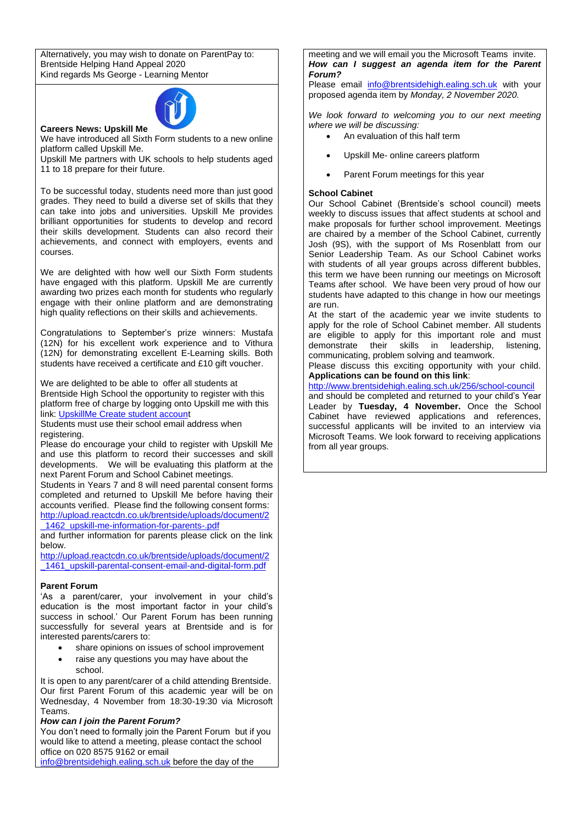Alternatively, you may wish to donate on ParentPay to: Brentside Helping Hand Appeal 2020 Kind regards Ms George - Learning Mentor



**Careers News: Upskill Me** 

We have introduced all Sixth Form students to a new online platform called Upskill Me.

Upskill Me partners with UK schools to help students aged 11 to 18 prepare for their future.

To be successful today, students need more than just good grades. They need to build a diverse set of skills that they can take into jobs and universities. Upskill Me provides brilliant opportunities for students to develop and record their skills development. Students can also record their achievements, and connect with employers, events and courses.

We are delighted with how well our Sixth Form students have engaged with this platform. Upskill Me are currently awarding two prizes each month for students who regularly engage with their online platform and are demonstrating high quality reflections on their skills and achievements.

Congratulations to September's prize winners: Mustafa (12N) for his excellent work experience and to Vithura (12N) for demonstrating excellent E-Learning skills. Both students have received a certificate and £10 gift voucher.

We are delighted to be able to offer all students at Brentside High School the opportunity to register with this platform free of charge by logging onto Upskill me with this link: [UpskillMe Create student account](https://upskillme.io/join/student?t=NWY1MGMxOTgxNTliMTEwMTM4YmZjOTcy)

Students must use their school email address when registering.

Please do encourage your child to register with Upskill Me and use this platform to record their successes and skill developments. We will be evaluating this platform at the next Parent Forum and School Cabinet meetings.

Students in Years 7 and 8 will need parental consent forms completed and returned to Upskill Me before having their accounts verified. Please find the following consent forms: [http://upload.reactcdn.co.uk/brentside/uploads/document/2](http://upload.reactcdn.co.uk/brentside/uploads/document/2_1462_upskill-me-information-for-parents-.pdf) [\\_1462\\_upskill-me-information-for-parents-.pdf](http://upload.reactcdn.co.uk/brentside/uploads/document/2_1462_upskill-me-information-for-parents-.pdf)

and further information for parents please click on the link below.

[http://upload.reactcdn.co.uk/brentside/uploads/document/2](http://upload.reactcdn.co.uk/brentside/uploads/document/2_1461_upskill-parental-consent-email-and-digital-form.pdf) 1461 upskill-parental-consent-email-and-digital-form.pdf

#### **Parent Forum**

'As a parent/carer, your involvement in your child's education is the most important factor in your child's success in school.' Our Parent Forum has been running successfully for several years at Brentside and is for interested parents/carers to:

- share opinions on issues of school improvement
- raise any questions you may have about the school.

It is open to any parent/carer of a child attending Brentside. Our first Parent Forum of this academic year will be on Wednesday, 4 November from 18:30-19:30 via Microsoft Teams.

#### *How can I join the Parent Forum?*

You don't need to formally join the Parent Forum but if you would like to attend a meeting, please contact the school office on 020 8575 9162 or email [info@brentsidehigh.ealing.sch.uk](mailto:info@brentsidehigh.ealing.sch.uk) before the day of the

meeting and we will email you the Microsoft Teams invite. *How can I suggest an agenda item for the Parent Forum?*

Please email [info@brentsidehigh.ealing.sch.uk](mailto:info@brentsidehigh.ealing.sch.uk) with your proposed agenda item by *Monday, 2 November 2020.* 

*We look forward to welcoming you to our next meeting where we will be discussing:*

- An evaluation of this half term
- Upskill Me- online careers platform
- Parent Forum meetings for this year

#### **School Cabinet**

Our School Cabinet (Brentside's school council) meets weekly to discuss issues that affect students at school and make proposals for further school improvement. Meetings are chaired by a member of the School Cabinet, currently Josh (9S), with the support of Ms Rosenblatt from our Senior Leadership Team. As our School Cabinet works with students of all year groups across different bubbles, this term we have been running our meetings on Microsoft Teams after school. We have been very proud of how our students have adapted to this change in how our meetings are run.

At the start of the academic year we invite students to apply for the role of School Cabinet member. All students are eligible to apply for this important role and must demonstrate their skills in leadership, listening, communicating, problem solving and teamwork.

Please discuss this exciting opportunity with your child. **Applications can be found on this link**:

<http://www.brentsidehigh.ealing.sch.uk/256/school-council>

and should be completed and returned to your child's Year Leader by **Tuesday, 4 November.** Once the School Cabinet have reviewed applications and references, successful applicants will be invited to an interview via Microsoft Teams. We look forward to receiving applications from all year groups.